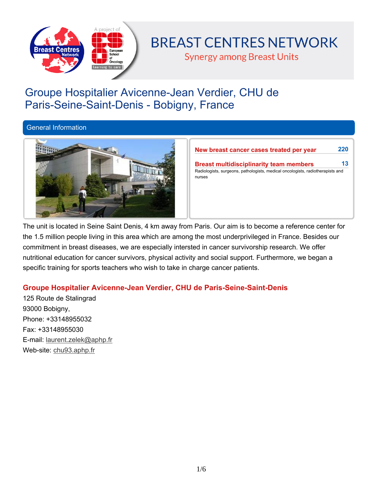

# **BREAST CENTRES NETWORK**

**Synergy among Breast Units** 

## **Groupe Hospitalier Avicenne-Jean Verdier, CHU de Paris-Seine-Saint-Denis - Bobigny, France**

## **General Information**



| <b>Breast multidisciplinarity team members</b>                                 | 13 |
|--------------------------------------------------------------------------------|----|
| Radiologists, surgeons, pathologists, medical oncologists, radiotherapists and |    |
|                                                                                |    |

The unit is located in Seine Saint Denis, 4 km away from Paris. Our aim is to become a reference center for the 1.5 million people living in this area which are among the most underprivileged in France. Besides our **commitment in breast diseases, we are especially intersted in cancer survivorship research. We offer nutritional education for cancer survivors, physical activity and social support. Furthermore, we began a specific training for sports teachers who wish to take in charge cancer patients.**

## **Groupe Hospitalier Avicenne-Jean Verdier, CHU de Paris-Seine-Saint-Denis**

**125 Route de Stalingrad 93000 Bobigny, Phone: +33148955032 Fax: +33148955030 E-mail: laurent.zelek@aphp.fr Web-site: chu93.aphp.fr**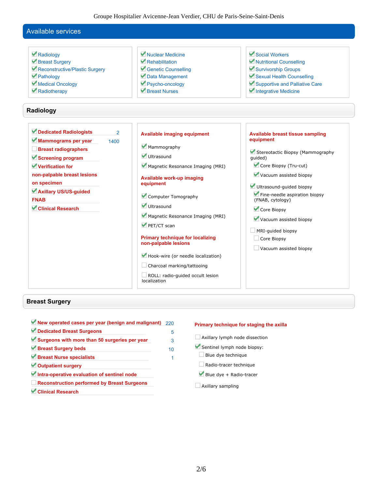Groupe Hospitalier Avicenne-Jean Verdier, CHU de Paris-Seine-Saint-Denis

#### **Available services Radiology Breast Surgery Reconstructive/Plastic Surgery Pathology Medical Oncology Radiotherapy Nuclear Medicine Rehabilitation Genetic Counselling Data Management Psycho-oncology Breast Nurses Social Workers Nutritional Counselling Survivorship Groups Sexual Health Counselling Supportive and Palliative Care Integrative Medicine Radiology Dedicated Radiologists 2 Mammograms per year 1400 Breast radiographers Screening program Verification for Available imaging equipment Mammography Ultrasound Magnetic Resonance Imaging (MRI) equipment guided) Core Biopsy (Tru-cut)**

- **Available work-up imaging**
- **Computer Tomography**
- **Ultrasound**

**equipment**

- **Magnetic Resonance Imaging (MRI)**
- **PET/CT scan**

#### **Primary technique for localizing non-palpable lesions**

- **Hook-wire (or needle localization)**
- **Charcoal marking/tattooing**

**ROLL: radio-guided occult lesion localization**

## **Available breast tissue sampling**

**Stereotactic Biopsy (Mammography**

- **Vacuum assisted biopsy**
- **Ultrasound-guided biopsy**

**Fine-needle aspiration biopsy (FNAB, cytology)**

- **Core Biopsy**
- **Vacuum assisted biopsy**
- **MRI-guided biopsy**
- **Core Biopsy**
- **Vacuum assisted biopsy**

#### **Breast Surgery**

**non-palpable breast lesions**

**Axillary US/US-guided**

**Clinical Research**

**on specimen**

**FNAB**

**New operated cases per year (benign and malignant) 220 Dedicated Breast Surgeons 5 Surgeons with more than 50 surgeries per year 3 Breast Surgery beds** 10 **Breast Nurse specialists 1 Outpatient surgery Intra-operative evaluation of sentinel node Reconstruction performed by Breast Surgeons Clinical Research**

#### **Primary technique for staging the axilla**

- **Axillary lymph node dissection**
- **Sentinel lymph node biopsy:**
- **Blue dye technique**
- **Radio-tracer technique**
- **Blue dye + Radio-tracer**
- **Axillary sampling**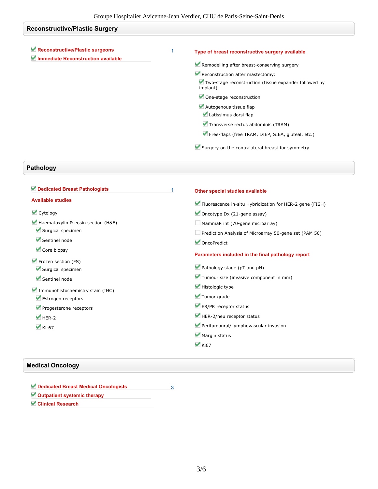## **Reconstructive/Plastic Surgery**

| Reconstructive/Plastic surgeons<br>Immediate Reconstruction available | Type of breast reconstructive surgery available                   |
|-----------------------------------------------------------------------|-------------------------------------------------------------------|
|                                                                       | Remodelling after breast-conserving surgery                       |
|                                                                       | Reconstruction after mastectomy:                                  |
|                                                                       | Two-stage reconstruction (tissue expander followed by<br>implant) |
|                                                                       | One-stage reconstruction                                          |
|                                                                       | Autogenous tissue flap                                            |
|                                                                       | Latissimus dorsi flap                                             |
|                                                                       | Transverse rectus abdominis (TRAM)                                |
|                                                                       | Free-flaps (free TRAM, DIEP, SIEA, gluteal, etc.)                 |

## **Pathology**

| Dedicated Breast Pathologists                          | 1 | Other special studies available                          |
|--------------------------------------------------------|---|----------------------------------------------------------|
| <b>Available studies</b>                               |   | Fluorescence in-situ Hybridization for HER-2 gene (FISH) |
| Cytology                                               |   | Oncotype Dx $(21$ -gene assay)                           |
| Haematoxylin & eosin section (H&E)                     |   | MammaPrint (70-gene microarray)                          |
| Surgical specimen                                      |   | Prediction Analysis of Microarray 50-gene set (PAM 50)   |
| Sentinel node                                          |   | OncoPredict                                              |
| Core biopsy                                            |   | Parameters included in the final pathology report        |
| Frozen section (FS)<br>Surgical specimen               |   | $\blacktriangleright$ Pathology stage (pT and pN)        |
| Sentinel node                                          |   | Tumour size (invasive component in mm)                   |
| Immunohistochemistry stain (IHC)<br>Estrogen receptors |   | Histologic type                                          |
|                                                        |   | Tumor grade                                              |
| Progesterone receptors                                 |   | ER/PR receptor status                                    |
| $HER-2$                                                |   | HER-2/neu receptor status                                |
| $\blacktriangleright$ Ki-67                            |   | Peritumoural/Lymphovascular invasion                     |
|                                                        |   | Margin status                                            |
|                                                        |   | $\blacktriangledown$ Ki67                                |

## **Medical Oncology**

- **Dedicated Breast Medical Oncologists 3**
- **Outpatient systemic therapy**
- **Clinical Research**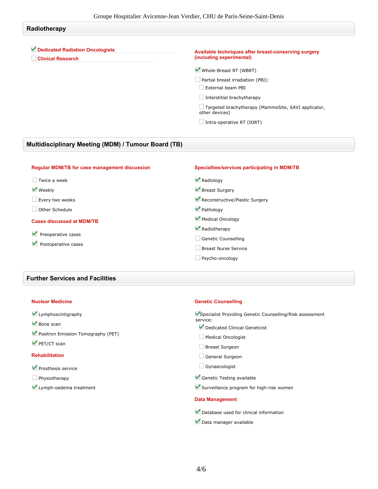## **Radiotherapy Dedicated Radiation Oncologists Clinical Research Available techniques after breast-conserving surgery (including experimental) Whole-Breast RT (WBRT) Partial breast irradiation (PBI): External beam PBI Interstitial brachytherapy Targeted brachytherapy (MammoSite, SAVI applicator, other devices) Intra-operative RT (IORT)**

### **Multidisciplinary Meeting (MDM) / Tumour Board (TB)**

| <b>Regular MDM/TB for case management discussion</b> | Specialties/services participating in MDM/TB |
|------------------------------------------------------|----------------------------------------------|
| Twice a week                                         | Radiology                                    |
| <b>Weekly</b>                                        | Breast Surgery                               |
| Every two weeks                                      | Reconstructive/Plastic Surgery               |
| Other Schedule                                       | Pathology                                    |
| <b>Cases discussed at MDM/TB</b>                     | Medical Oncology                             |
| Preoperative cases<br>Postoperative cases            | Radiotherapy                                 |
|                                                      | Genetic Counselling                          |
|                                                      | Breast Nurse Service                         |
|                                                      | Psycho-oncology                              |

#### **Further Services and Facilities**

#### **Nuclear Medicine**

| Lymphoscintigraphy |  |
|--------------------|--|
|--------------------|--|

- **Bone scan**
- **Positron Emission Tomography (PET)**
- **PET/CT scan**

#### **Rehabilitation**

- **Prosthesis service**
- **Physiotherapy**
- **Lymph-oedema treatment**

#### **Genetic Counselling**

**Specialist Providing Genetic Counselling/Risk assessment service:**

- **Dedicated Clinical Geneticist**
- **Medical Oncologist**
- **Breast Surgeon**
- **General Surgeon**
- **Gynaecologist**
- **Genetic Testing available**
- **Surveillance program for high-risk women**

#### **Data Management**

- **Database used for clinical information**
- **Data manager available**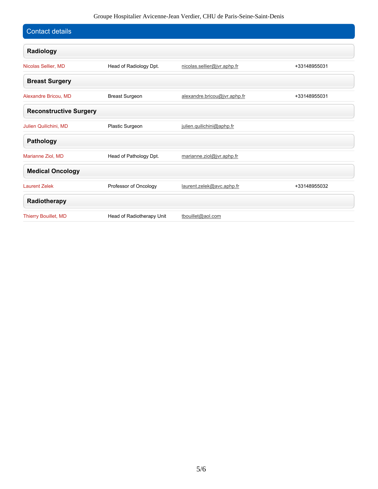## Groupe Hospitalier Avicenne-Jean Verdier, CHU de Paris-Seine-Saint-Denis

| <b>Contact details</b>        |                           |                              |              |
|-------------------------------|---------------------------|------------------------------|--------------|
| Radiology                     |                           |                              |              |
| Nicolas Sellier, MD           | Head of Radiology Dpt.    | nicolas.sellier@jvr.aphp.fr  | +33148955031 |
| <b>Breast Surgery</b>         |                           |                              |              |
| Alexandre Bricou, MD          | <b>Breast Surgeon</b>     | alexandre.bricou@jvr.aphp.fr | +33148955031 |
| <b>Reconstructive Surgery</b> |                           |                              |              |
| Julien Quilichini, MD         | Plastic Surgeon           | julien.quilichini@aphp.fr    |              |
| <b>Pathology</b>              |                           |                              |              |
| Marianne Ziol, MD             | Head of Pathology Dpt.    | marianne.ziol@jvr.aphp.fr    |              |
| <b>Medical Oncology</b>       |                           |                              |              |
| <b>Laurent Zelek</b>          | Professor of Oncology     | laurent.zelek@avc.aphp.fr    | +33148955032 |
| Radiotherapy                  |                           |                              |              |
| <b>Thierry Bouillet, MD</b>   | Head of Radiotherapy Unit | tbouillet@aol.com            |              |